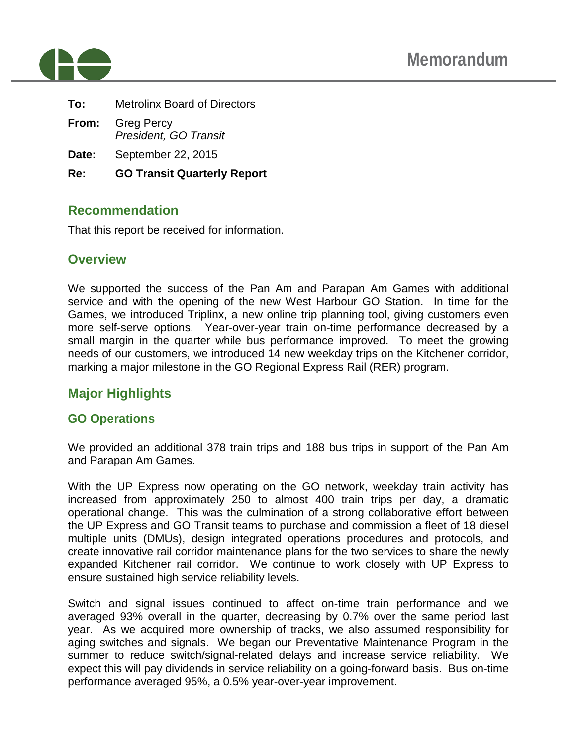

| Re:   | <b>GO Transit Quarterly Report</b>         |  |  |
|-------|--------------------------------------------|--|--|
| Date: | September 22, 2015                         |  |  |
| From: | <b>Greg Percy</b><br>President, GO Transit |  |  |
| To:   | <b>Metrolinx Board of Directors</b>        |  |  |

## **Recommendation**

That this report be received for information.

## **Overview**

We supported the success of the Pan Am and Parapan Am Games with additional service and with the opening of the new West Harbour GO Station. In time for the Games, we introduced Triplinx, a new online trip planning tool, giving customers even more self-serve options. Year-over-year train on-time performance decreased by a small margin in the quarter while bus performance improved. To meet the growing needs of our customers, we introduced 14 new weekday trips on the Kitchener corridor, marking a major milestone in the GO Regional Express Rail (RER) program.

# **Major Highlights**

#### **GO Operations**

We provided an additional 378 train trips and 188 bus trips in support of the Pan Am and Parapan Am Games.

With the UP Express now operating on the GO network, weekday train activity has increased from approximately 250 to almost 400 train trips per day, a dramatic operational change. This was the culmination of a strong collaborative effort between the UP Express and GO Transit teams to purchase and commission a fleet of 18 diesel multiple units (DMUs), design integrated operations procedures and protocols, and create innovative rail corridor maintenance plans for the two services to share the newly expanded Kitchener rail corridor. We continue to work closely with UP Express to ensure sustained high service reliability levels.

Switch and signal issues continued to affect on-time train performance and we averaged 93% overall in the quarter, decreasing by 0.7% over the same period last year. As we acquired more ownership of tracks, we also assumed responsibility for aging switches and signals. We began our Preventative Maintenance Program in the summer to reduce switch/signal-related delays and increase service reliability. We expect this will pay dividends in service reliability on a going-forward basis. Bus on-time performance averaged 95%, a 0.5% year-over-year improvement.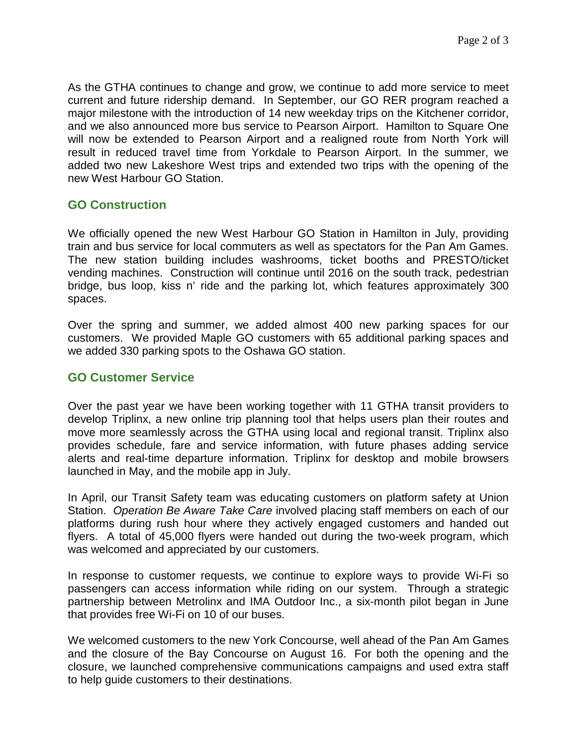As the GTHA continues to change and grow, we continue to add more service to meet current and future ridership demand. In September, our GO RER program reached a major milestone with the introduction of 14 new weekday trips on the Kitchener corridor, and we also announced more bus service to Pearson Airport. Hamilton to Square One will now be extended to Pearson Airport and a realigned route from North York will result in reduced travel time from Yorkdale to Pearson Airport. In the summer, we added two new Lakeshore West trips and extended two trips with the opening of the new West Harbour GO Station.

#### **GO Construction**

We officially opened the new West Harbour GO Station in Hamilton in July, providing train and bus service for local commuters as well as spectators for the Pan Am Games. The new station building includes washrooms, ticket booths and PRESTO/ticket vending machines. Construction will continue until 2016 on the south track, pedestrian bridge, bus loop, kiss n' ride and the parking lot, which features approximately 300 spaces.

Over the spring and summer, we added almost 400 new parking spaces for our customers. We provided Maple GO customers with 65 additional parking spaces and we added 330 parking spots to the Oshawa GO station.

#### **GO Customer Service**

Over the past year we have been working together with 11 GTHA transit providers to develop Triplinx, a new online trip planning tool that helps users plan their routes and move more seamlessly across the GTHA using local and regional transit. Triplinx also provides schedule, fare and service information, with future phases adding service alerts and real-time departure information. Triplinx for desktop and mobile browsers launched in May, and the mobile app in July.

In April, our Transit Safety team was educating customers on platform safety at Union Station. *Operation Be Aware Take Care* involved placing staff members on each of our platforms during rush hour where they actively engaged customers and handed out flyers. A total of 45,000 flyers were handed out during the two-week program, which was welcomed and appreciated by our customers.

In response to customer requests, we continue to explore ways to provide Wi-Fi so passengers can access information while riding on our system. Through a strategic partnership between Metrolinx and IMA Outdoor Inc., a six-month pilot began in June that provides free Wi-Fi on 10 of our buses.

We welcomed customers to the new York Concourse, well ahead of the Pan Am Games and the closure of the Bay Concourse on August 16. For both the opening and the closure, we launched comprehensive communications campaigns and used extra staff to help guide customers to their destinations.